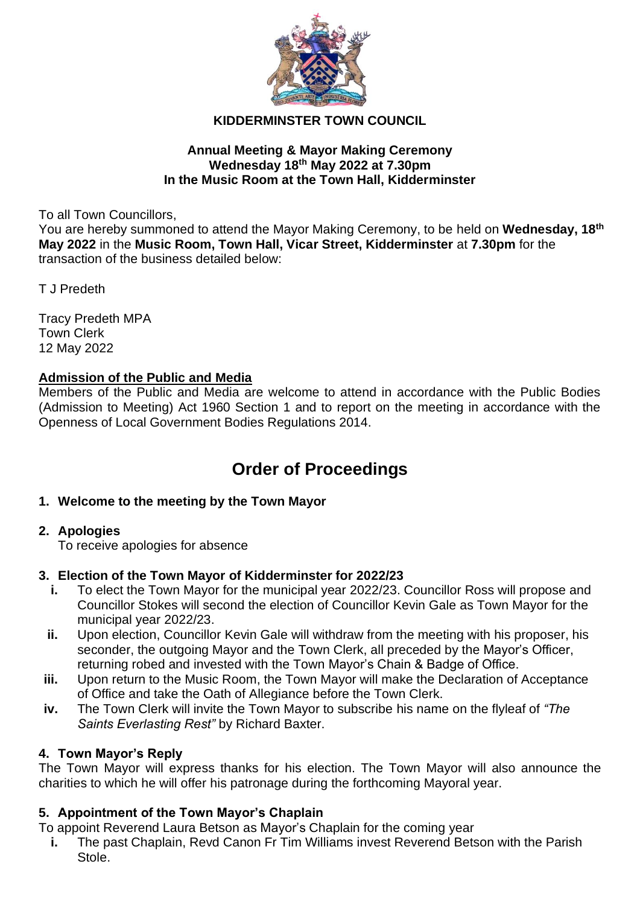

## **KIDDERMINSTER TOWN COUNCIL**

#### **Annual Meeting & Mayor Making Ceremony Wednesday 18 th May 2022 at 7.30pm In the Music Room at the Town Hall, Kidderminster**

To all Town Councillors,

You are hereby summoned to attend the Mayor Making Ceremony, to be held on Wednesday, 18<sup>th</sup> **May 2022** in the **Music Room, Town Hall, Vicar Street, Kidderminster** at **7.30pm** for the transaction of the business detailed below:

T J Predeth

Tracy Predeth MPA Town Clerk 12 May 2022

#### **Admission of the Public and Media**

Members of the Public and Media are welcome to attend in accordance with the Public Bodies (Admission to Meeting) Act 1960 Section 1 and to report on the meeting in accordance with the Openness of Local Government Bodies Regulations 2014.

# **Order of Proceedings**

#### **1. Welcome to the meeting by the Town Mayor**

#### **2. Apologies**

To receive apologies for absence

#### **3. Election of the Town Mayor of Kidderminster for 2022/23**

- **i.** To elect the Town Mayor for the municipal year 2022/23. Councillor Ross will propose and Councillor Stokes will second the election of Councillor Kevin Gale as Town Mayor for the municipal year 2022/23.
- **ii.** Upon election, Councillor Kevin Gale will withdraw from the meeting with his proposer, his seconder, the outgoing Mayor and the Town Clerk, all preceded by the Mayor's Officer, returning robed and invested with the Town Mayor's Chain & Badge of Office.
- **iii.** Upon return to the Music Room, the Town Mayor will make the Declaration of Acceptance of Office and take the Oath of Allegiance before the Town Clerk.
- **iv.** The Town Clerk will invite the Town Mayor to subscribe his name on the flyleaf of *"The Saints Everlasting Rest"* by Richard Baxter.

## **4. Town Mayor's Reply**

The Town Mayor will express thanks for his election. The Town Mayor will also announce the charities to which he will offer his patronage during the forthcoming Mayoral year.

## **5. Appointment of the Town Mayor's Chaplain**

To appoint Reverend Laura Betson as Mayor's Chaplain for the coming year

**i.** The past Chaplain, Revd Canon Fr Tim Williams invest Reverend Betson with the Parish Stole.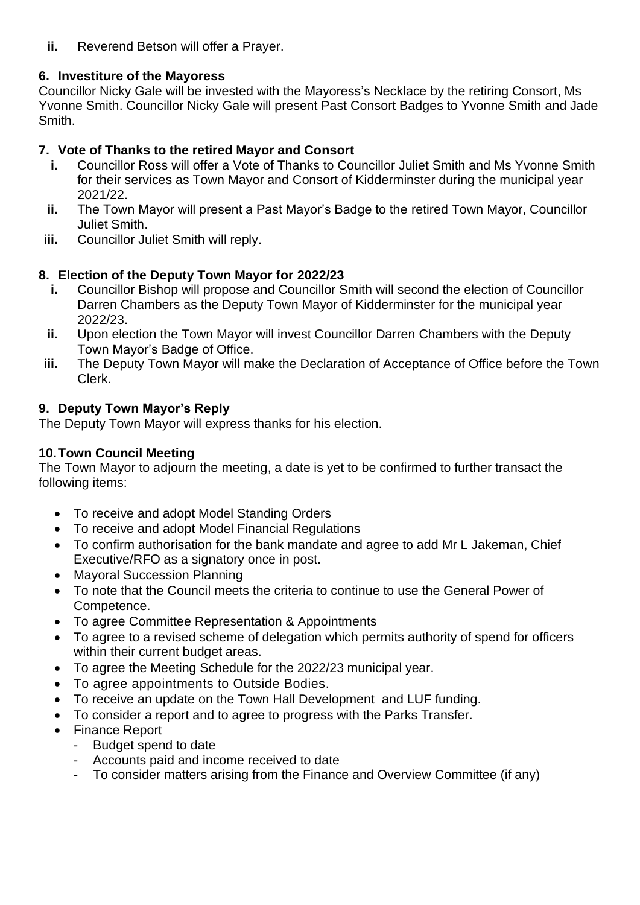**ii.** Reverend Betson will offer a Prayer.

## **6. Investiture of the Mayoress**

Councillor Nicky Gale will be invested with the Mayoress's Necklace by the retiring Consort, Ms Yvonne Smith. Councillor Nicky Gale will present Past Consort Badges to Yvonne Smith and Jade Smith.

## **7. Vote of Thanks to the retired Mayor and Consort**

- **i.** Councillor Ross will offer a Vote of Thanks to Councillor Juliet Smith and Ms Yvonne Smith for their services as Town Mayor and Consort of Kidderminster during the municipal year 2021/22.
- **ii.** The Town Mayor will present a Past Mayor's Badge to the retired Town Mayor, Councillor Juliet Smith.
- **iii.** Councillor Juliet Smith will reply.

## **8. Election of the Deputy Town Mayor for 2022/23**

- **i.** Councillor Bishop will propose and Councillor Smith will second the election of Councillor Darren Chambers as the Deputy Town Mayor of Kidderminster for the municipal year 2022/23.
- **ii.** Upon election the Town Mayor will invest Councillor Darren Chambers with the Deputy Town Mayor's Badge of Office.
- **iii.** The Deputy Town Mayor will make the Declaration of Acceptance of Office before the Town Clerk.

## **9. Deputy Town Mayor's Reply**

The Deputy Town Mayor will express thanks for his election.

## **10.Town Council Meeting**

The Town Mayor to adjourn the meeting, a date is yet to be confirmed to further transact the following items:

- To receive and adopt Model Standing Orders
- To receive and adopt Model Financial Regulations
- To confirm authorisation for the bank mandate and agree to add Mr L Jakeman, Chief Executive/RFO as a signatory once in post.
- Mayoral Succession Planning
- To note that the Council meets the criteria to continue to use the General Power of Competence.
- To agree Committee Representation & Appointments
- To agree to a revised scheme of delegation which permits authority of spend for officers within their current budget areas.
- To agree the Meeting Schedule for the 2022/23 municipal year.
- To agree appointments to Outside Bodies.
- To receive an update on the Town Hall Development and LUF funding.
- To consider a report and to agree to progress with the Parks Transfer.
- Finance Report
	- Budget spend to date
	- Accounts paid and income received to date
	- To consider matters arising from the Finance and Overview Committee (if any)